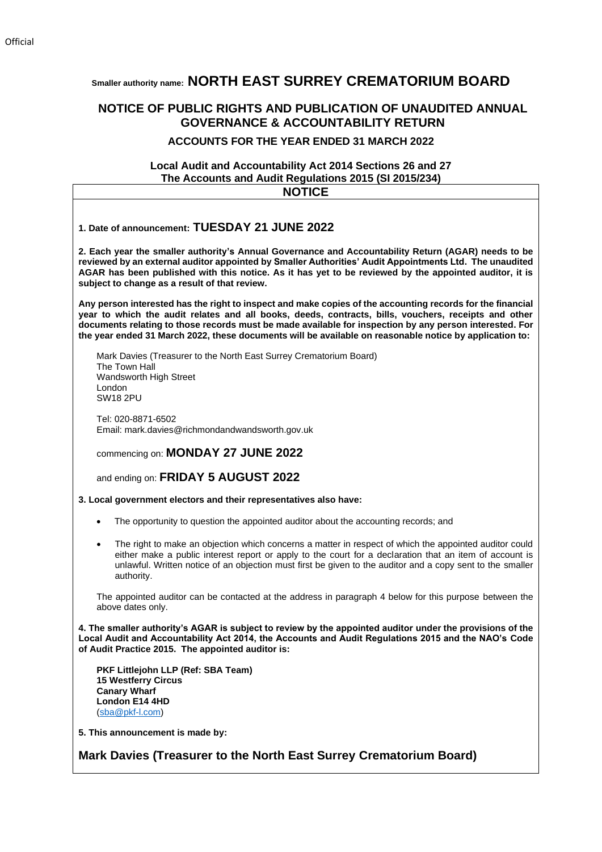# **Smaller authority name: NORTH EAST SURREY CREMATORIUM BOARD**

# **NOTICE OF PUBLIC RIGHTS AND PUBLICATION OF UNAUDITED ANNUAL GOVERNANCE & ACCOUNTABILITY RETURN**

## **ACCOUNTS FOR THE YEAR ENDED 31 MARCH 2022**

# **Local Audit and Accountability Act 2014 Sections 26 and 27 The Accounts and Audit Regulations 2015 (SI 2015/234)**

| <b>NOTICE</b>                                                                                                                                                                                                                                                                                                                                                                                                                            |
|------------------------------------------------------------------------------------------------------------------------------------------------------------------------------------------------------------------------------------------------------------------------------------------------------------------------------------------------------------------------------------------------------------------------------------------|
| 1. Date of announcement: TUESDAY 21 JUNE 2022                                                                                                                                                                                                                                                                                                                                                                                            |
| 2. Each year the smaller authority's Annual Governance and Accountability Return (AGAR) needs to be<br>reviewed by an external auditor appointed by Smaller Authorities' Audit Appointments Ltd. The unaudited<br>AGAR has been published with this notice. As it has yet to be reviewed by the appointed auditor, it is<br>subject to change as a result of that review.                                                                |
| Any person interested has the right to inspect and make copies of the accounting records for the financial<br>year to which the audit relates and all books, deeds, contracts, bills, vouchers, receipts and other<br>documents relating to those records must be made available for inspection by any person interested. For<br>the year ended 31 March 2022, these documents will be available on reasonable notice by application to: |
| Mark Davies (Treasurer to the North East Surrey Crematorium Board)<br>The Town Hall<br>Wandsworth High Street<br>London<br><b>SW18 2PU</b>                                                                                                                                                                                                                                                                                               |
| Tel: 020-8871-6502<br>Email: mark.davies@richmondandwandsworth.gov.uk                                                                                                                                                                                                                                                                                                                                                                    |
| commencing on: MONDAY 27 JUNE 2022                                                                                                                                                                                                                                                                                                                                                                                                       |
| and ending on: FRIDAY 5 AUGUST 2022                                                                                                                                                                                                                                                                                                                                                                                                      |
| 3. Local government electors and their representatives also have:                                                                                                                                                                                                                                                                                                                                                                        |
| The opportunity to question the appointed auditor about the accounting records; and<br>$\bullet$                                                                                                                                                                                                                                                                                                                                         |
| The right to make an objection which concerns a matter in respect of which the appointed auditor could<br>$\bullet$<br>either make a public interest report or apply to the court for a declaration that an item of account is<br>unlawful. Written notice of an objection must first be given to the auditor and a copy sent to the smaller<br>authority.                                                                               |
| The appointed auditor can be contacted at the address in paragraph 4 below for this purpose between the<br>above dates only.                                                                                                                                                                                                                                                                                                             |
| 4. The smaller authority's AGAR is subject to review by the appointed auditor under the provisions of the<br>Local Audit and Accountability Act 2014, the Accounts and Audit Regulations 2015 and the NAO's Code<br>of Audit Practice 2015. The appointed auditor is:                                                                                                                                                                    |
| PKF Littlejohn LLP (Ref: SBA Team)<br><b>15 Westferry Circus</b><br><b>Canary Wharf</b><br>London E14 4HD<br>(sba@pkf-l.com)                                                                                                                                                                                                                                                                                                             |
| 5. This announcement is made by:                                                                                                                                                                                                                                                                                                                                                                                                         |
| Mark Davies (Treasurer to the North East Surrey Crematorium Board)                                                                                                                                                                                                                                                                                                                                                                       |
|                                                                                                                                                                                                                                                                                                                                                                                                                                          |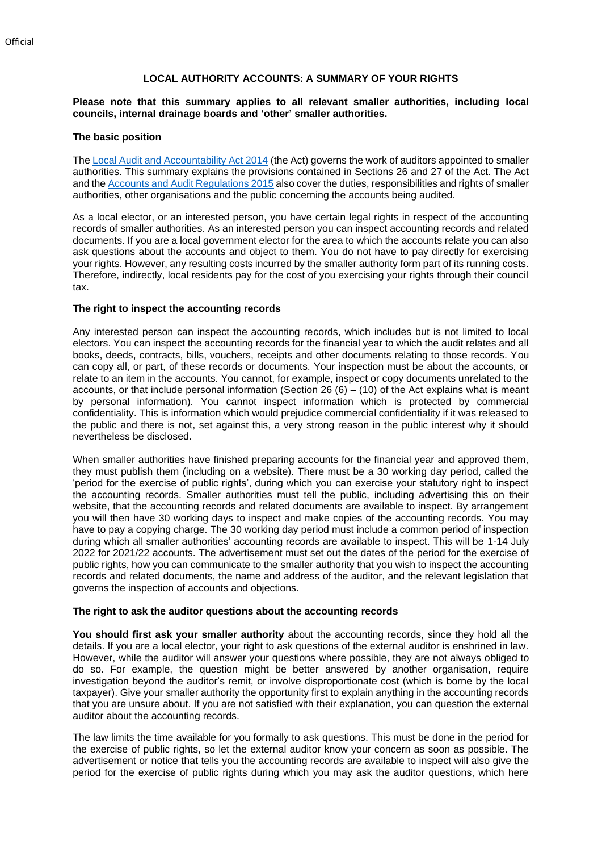### **LOCAL AUTHORITY ACCOUNTS: A SUMMARY OF YOUR RIGHTS**

#### **Please note that this summary applies to all relevant smaller authorities, including local councils, internal drainage boards and 'other' smaller authorities.**

#### **The basic position**

Th[e Local Audit and Accountability Act 2014](http://www.legislation.gov.uk/ukpga/2014/2/contents) (the Act) governs the work of auditors appointed to smaller authorities. This summary explains the provisions contained in Sections 26 and 27 of the Act. The Act and the [Accounts and Audit Regulations 2015](http://www.legislation.gov.uk/uksi/2015/234/contents/made) also cover the duties, responsibilities and rights of smaller authorities, other organisations and the public concerning the accounts being audited.

As a local elector, or an interested person, you have certain legal rights in respect of the accounting records of smaller authorities. As an interested person you can inspect accounting records and related documents. If you are a local government elector for the area to which the accounts relate you can also ask questions about the accounts and object to them. You do not have to pay directly for exercising your rights. However, any resulting costs incurred by the smaller authority form part of its running costs. Therefore, indirectly, local residents pay for the cost of you exercising your rights through their council tax.

#### **The right to inspect the accounting records**

Any interested person can inspect the accounting records, which includes but is not limited to local electors. You can inspect the accounting records for the financial year to which the audit relates and all books, deeds, contracts, bills, vouchers, receipts and other documents relating to those records. You can copy all, or part, of these records or documents. Your inspection must be about the accounts, or relate to an item in the accounts. You cannot, for example, inspect or copy documents unrelated to the accounts, or that include personal information (Section 26  $(6) - (10)$  of the Act explains what is meant by personal information). You cannot inspect information which is protected by commercial confidentiality. This is information which would prejudice commercial confidentiality if it was released to the public and there is not, set against this, a very strong reason in the public interest why it should nevertheless be disclosed.

When smaller authorities have finished preparing accounts for the financial year and approved them, they must publish them (including on a website). There must be a 30 working day period, called the 'period for the exercise of public rights', during which you can exercise your statutory right to inspect the accounting records. Smaller authorities must tell the public, including advertising this on their website, that the accounting records and related documents are available to inspect. By arrangement you will then have 30 working days to inspect and make copies of the accounting records. You may have to pay a copying charge. The 30 working day period must include a common period of inspection during which all smaller authorities' accounting records are available to inspect. This will be 1-14 July 2022 for 2021/22 accounts. The advertisement must set out the dates of the period for the exercise of public rights, how you can communicate to the smaller authority that you wish to inspect the accounting records and related documents, the name and address of the auditor, and the relevant legislation that governs the inspection of accounts and objections.

#### **The right to ask the auditor questions about the accounting records**

**You should first ask your smaller authority** about the accounting records, since they hold all the details. If you are a local elector, your right to ask questions of the external auditor is enshrined in law. However, while the auditor will answer your questions where possible, they are not always obliged to do so. For example, the question might be better answered by another organisation, require investigation beyond the auditor's remit, or involve disproportionate cost (which is borne by the local taxpayer). Give your smaller authority the opportunity first to explain anything in the accounting records that you are unsure about. If you are not satisfied with their explanation, you can question the external auditor about the accounting records.

The law limits the time available for you formally to ask questions. This must be done in the period for the exercise of public rights, so let the external auditor know your concern as soon as possible. The advertisement or notice that tells you the accounting records are available to inspect will also give the period for the exercise of public rights during which you may ask the auditor questions, which here